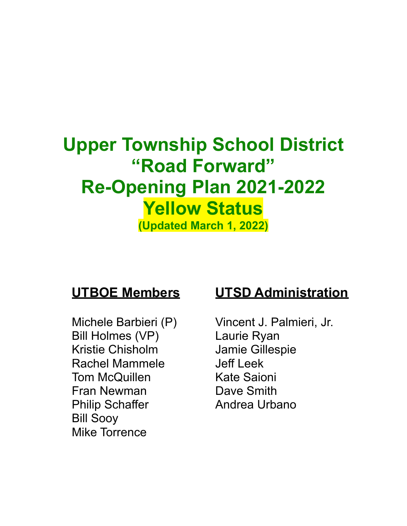# **Upper Township School District "Road Forward" Re-Opening Plan 2021-2022 Yellow Status (Updated March 1, 2022)**

Bill Holmes (VP) Laurie Ryan Kristie Chisholm Jamie Gillespie Rachel Mammele **Jeff** Leek Tom McQuillen Kate Saioni Fran Newman Dave Smith Philip Schaffer **Andrea Urbano** Bill Sooy Mike Torrence

# **UTBOE Members UTSD Administration**

Michele Barbieri (P) Vincent J. Palmieri, Jr.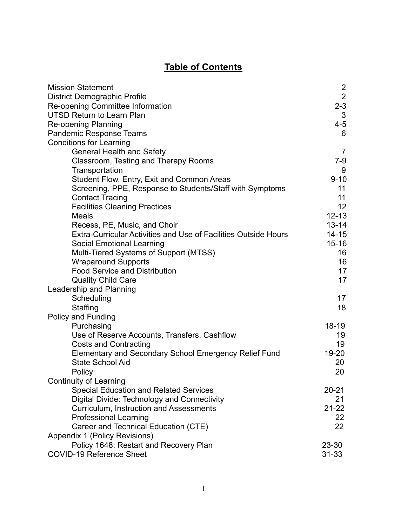# **Table of Contents**

| <b>Mission Statement</b>                                               |                 |
|------------------------------------------------------------------------|-----------------|
| <b>District Demographic Profile</b>                                    | $\frac{2}{2}$   |
| Re-opening Committee Information                                       | $2 - 3$         |
| <b>UTSD Return to Learn Plan</b>                                       | $\mathfrak{S}$  |
| <b>Re-opening Planning</b>                                             | $4 - 5$         |
| Pandemic Response Teams                                                | 6               |
| <b>Conditions for Learning</b>                                         |                 |
| <b>General Health and Safety</b>                                       | 7               |
| Classroom, Testing and Therapy Rooms                                   | $7-9$           |
| Transportation                                                         | 9               |
| Student Flow, Entry, Exit and Common Areas                             | $9 - 10$        |
| Screening, PPE, Response to Students/Staff with Symptoms               | 11              |
| <b>Contact Tracing</b>                                                 | 11              |
| <b>Facilities Cleaning Practices</b>                                   | 12 <sub>2</sub> |
| <b>Meals</b>                                                           | $12 - 13$       |
| Recess, PE, Music, and Choir                                           | $13 - 14$       |
| <b>Extra-Curricular Activities and Use of Facilities Outside Hours</b> | $14 - 15$       |
| <b>Social Emotional Learning</b>                                       | $15 - 16$       |
| Multi-Tiered Systems of Support (MTSS)                                 | 16              |
| <b>Wraparound Supports</b>                                             | 16              |
| <b>Food Service and Distribution</b>                                   | 17              |
| <b>Quality Child Care</b>                                              | 17              |
| Leadership and Planning                                                |                 |
| Scheduling                                                             | 17              |
| Staffing                                                               | 18              |
| <b>Policy and Funding</b>                                              |                 |
| Purchasing                                                             | $18 - 19$       |
| Use of Reserve Accounts, Transfers, Cashflow                           | 19              |
| <b>Costs and Contracting</b>                                           | 19              |
| Elementary and Secondary School Emergency Relief Fund                  | 19-20           |
| <b>State School Aid</b>                                                | 20              |
| Policy                                                                 | 20              |
| <b>Continuity of Learning</b>                                          |                 |
| <b>Special Education and Related Services</b>                          | $20 - 21$       |
| Digital Divide: Technology and Connectivity                            | 21              |
| Curriculum, Instruction and Assessments                                | $21 - 22$       |
| <b>Professional Learning</b>                                           | 22              |
| Career and Technical Education (CTE)                                   | 22              |
| Appendix 1 (Policy Revisions)                                          |                 |
| Policy 1648: Restart and Recovery Plan                                 | 23-30           |
| <b>COVID-19 Reference Sheet</b>                                        | $31 - 33$       |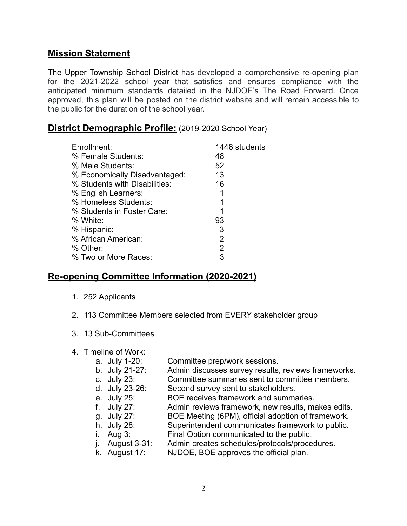# **Mission Statement**

The Upper Township School District has developed a comprehensive re-opening plan for the 2021-2022 school year that satisfies and ensures compliance with the anticipated minimum standards detailed in the NJDOE's The Road Forward. Once approved, this plan will be posted on the district website and will remain accessible to the public for the duration of the school year.

# **District Demographic Profile:** (2019-2020 School Year)

| Enrollment:                   | 1446 students |
|-------------------------------|---------------|
| % Female Students:            | 48            |
| % Male Students:              | 52            |
| % Economically Disadvantaged: | 13            |
| % Students with Disabilities: | 16            |
| % English Learners:           |               |
| % Homeless Students:          |               |
| % Students in Foster Care:    | 1             |
| % White:                      | 93            |
| % Hispanic:                   | 3             |
| % African American:           | 2             |
| % Other:                      | 2             |
| % Two or More Races:          | 3             |

# **Re-opening Committee Information (2020-2021)**

- 1. 252 Applicants
- 2. 113 Committee Members selected from EVERY stakeholder group
- 3. 13 Sub-Committees
- 4. Timeline of Work:
	- a. July 1-20: Committee prep/work sessions.
	- b. July 21-27: Admin discusses survey results, reviews frameworks.
	- c. July 23: Committee summaries sent to committee members.
	- d. July 23-26: Second survey sent to stakeholders.
	- e. July 25: BOE receives framework and summaries.
	- f. July 27: Admin reviews framework, new results, makes edits.
	- g. July 27: BOE Meeting (6PM), official adoption of framework.
	- h. July 28: Superintendent communicates framework to public.
	- i. Aug 3: Final Option communicated to the public.
	- j. August 3-31: Admin creates schedules/protocols/procedures.<br>k. August 17: NJDOE, BOE approves the official plan.
	- NJDOE, BOE approves the official plan.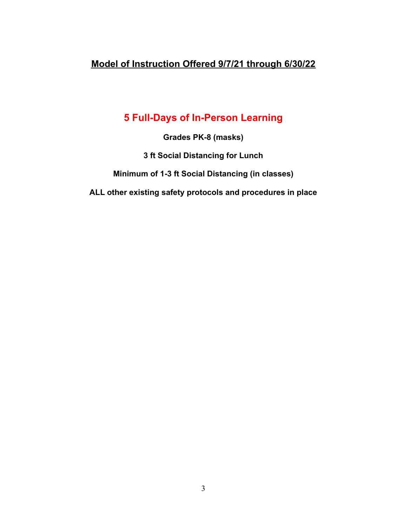# **Model of Instruction Offered 9/7/21 through 6/30/22**

# **5 Full-Days of In-Person Learning**

**Grades PK-8 (masks)**

**3 ft Social Distancing for Lunch**

**Minimum of 1-3 ft Social Distancing (in classes)**

**ALL other existing safety protocols and procedures in place**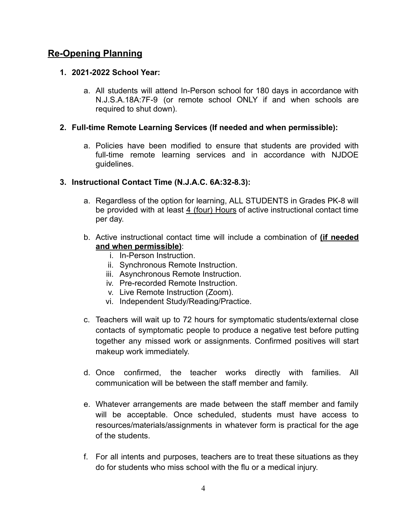# **Re-Opening Planning**

#### **1. 2021-2022 School Year:**

a. All students will attend In-Person school for 180 days in accordance with N.J.S.A.18A:7F-9 (or remote school ONLY if and when schools are required to shut down).

#### **2. Full-time Remote Learning Services (If needed and when permissible):**

a. Policies have been modified to ensure that students are provided with full-time remote learning services and in accordance with NJDOE guidelines.

#### **3. Instructional Contact Time (N.J.A.C. 6A:32-8.3):**

- a. Regardless of the option for learning, ALL STUDENTS in Grades PK-8 will be provided with at least 4 (four) Hours of active instructional contact time per day.
- b. Active instructional contact time will include a combination of **(if needed and when permissible)**:
	- i. In-Person Instruction.
	- ii. Synchronous Remote Instruction.
	- iii. Asynchronous Remote Instruction.
	- iv. Pre-recorded Remote Instruction.
	- v. Live Remote Instruction (Zoom).
	- vi. Independent Study/Reading/Practice.
- c. Teachers will wait up to 72 hours for symptomatic students/external close contacts of symptomatic people to produce a negative test before putting together any missed work or assignments. Confirmed positives will start makeup work immediately.
- d. Once confirmed, the teacher works directly with families. All communication will be between the staff member and family.
- e. Whatever arrangements are made between the staff member and family will be acceptable. Once scheduled, students must have access to resources/materials/assignments in whatever form is practical for the age of the students.
- f. For all intents and purposes, teachers are to treat these situations as they do for students who miss school with the flu or a medical injury.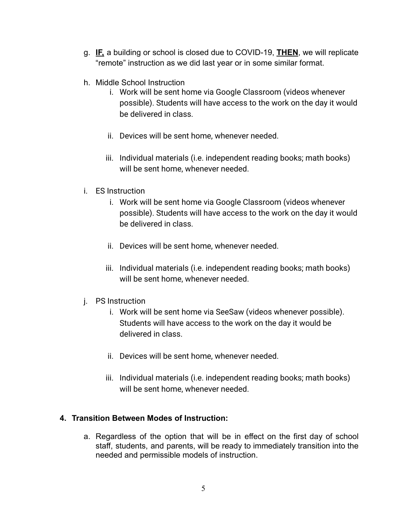- g. **IF,** a building or school is closed due to COVID-19, **THEN**, we will replicate "remote" instruction as we did last year or in some similar format.
- h. Middle School Instruction
	- i. Work will be sent home via Google Classroom (videos whenever possible). Students will have access to the work on the day it would be delivered in class.
	- ii. Devices will be sent home, whenever needed.
	- iii. Individual materials (i.e. independent reading books; math books) will be sent home, whenever needed.
- i. ES Instruction
	- i. Work will be sent home via Google Classroom (videos whenever possible). Students will have access to the work on the day it would be delivered in class.
	- ii. Devices will be sent home, whenever needed.
	- iii. Individual materials (i.e. independent reading books; math books) will be sent home, whenever needed.
- j. PS Instruction
	- i. Work will be sent home via SeeSaw (videos whenever possible). Students will have access to the work on the day it would be delivered in class.
	- ii. Devices will be sent home, whenever needed.
	- iii. Individual materials (i.e. independent reading books; math books) will be sent home, whenever needed.

#### **4. Transition Between Modes of Instruction:**

a. Regardless of the option that will be in effect on the first day of school staff, students, and parents, will be ready to immediately transition into the needed and permissible models of instruction.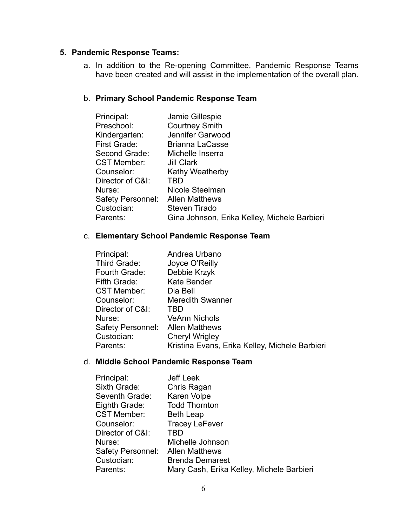#### **5. Pandemic Response Teams:**

a. In addition to the Re-opening Committee, Pandemic Response Teams have been created and will assist in the implementation of the overall plan.

#### b. **Primary School Pandemic Response Team**

| Jamie Gillespie                              |
|----------------------------------------------|
| <b>Courtney Smith</b>                        |
| Jennifer Garwood                             |
| <b>Brianna LaCasse</b>                       |
| Michelle Inserra                             |
| Jill Clark                                   |
| Kathy Weatherby                              |
| TBD                                          |
| Nicole Steelman                              |
| <b>Allen Matthews</b>                        |
| Steven Tirado                                |
| Gina Johnson, Erika Kelley, Michele Barbieri |
|                                              |

#### c. **Elementary School Pandemic Response Team**

| Principal:               | Andrea Urbano                                  |
|--------------------------|------------------------------------------------|
| Third Grade:             | Joyce O'Reilly                                 |
| Fourth Grade:            | Debbie Krzyk                                   |
| Fifth Grade:             | <b>Kate Bender</b>                             |
| <b>CST Member:</b>       | Dia Bell                                       |
| Counselor:               | <b>Meredith Swanner</b>                        |
| Director of C&I:         | TBD                                            |
| Nurse:                   | <b>VeAnn Nichols</b>                           |
| <b>Safety Personnel:</b> | <b>Allen Matthews</b>                          |
| Custodian:               | <b>Cheryl Wrigley</b>                          |
| Parents:                 | Kristina Evans, Erika Kelley, Michele Barbieri |

#### d. **Middle School Pandemic Response Team**

| Principal:         | <b>Jeff Leek</b>                          |
|--------------------|-------------------------------------------|
| Sixth Grade:       | Chris Ragan                               |
| Seventh Grade:     | Karen Volpe                               |
| Eighth Grade:      | <b>Todd Thornton</b>                      |
| <b>CST Member:</b> | <b>Beth Leap</b>                          |
| Counselor:         | <b>Tracey LeFever</b>                     |
| Director of C&I:   | TBD                                       |
| Nurse:             | Michelle Johnson                          |
| Safety Personnel:  | <b>Allen Matthews</b>                     |
| Custodian:         | <b>Brenda Demarest</b>                    |
| Parents:           | Mary Cash, Erika Kelley, Michele Barbieri |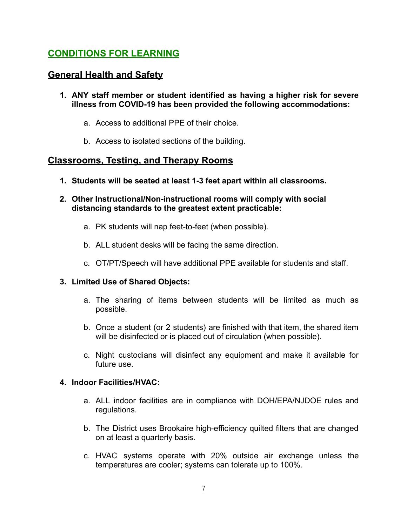# **CONDITIONS FOR LEARNING**

# **General Health and Safety**

- **1. ANY staff member or student identified as having a higher risk for severe illness from COVID-19 has been provided the following accommodations:**
	- a. Access to additional PPE of their choice.
	- b. Access to isolated sections of the building.

# **Classrooms, Testing, and Therapy Rooms**

- **1. Students will be seated at least 1-3 feet apart within all classrooms.**
- **2. Other Instructional/Non-instructional rooms will comply with social distancing standards to the greatest extent practicable:**
	- a. PK students will nap feet-to-feet (when possible).
	- b. ALL student desks will be facing the same direction.
	- c. OT/PT/Speech will have additional PPE available for students and staff.

# **3. Limited Use of Shared Objects:**

- a. The sharing of items between students will be limited as much as possible.
- b. Once a student (or 2 students) are finished with that item, the shared item will be disinfected or is placed out of circulation (when possible).
- c. Night custodians will disinfect any equipment and make it available for future use.

# **4. Indoor Facilities/HVAC:**

- a. ALL indoor facilities are in compliance with DOH/EPA/NJDOE rules and regulations.
- b. The District uses Brookaire high-efficiency quilted filters that are changed on at least a quarterly basis.
- c. HVAC systems operate with 20% outside air exchange unless the temperatures are cooler; systems can tolerate up to 100%.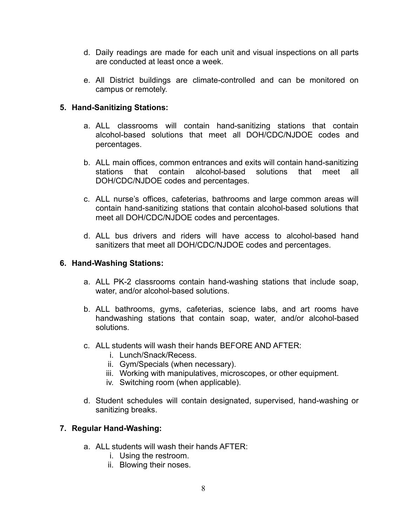- d. Daily readings are made for each unit and visual inspections on all parts are conducted at least once a week.
- e. All District buildings are climate-controlled and can be monitored on campus or remotely.

#### **5. Hand-Sanitizing Stations:**

- a. ALL classrooms will contain hand-sanitizing stations that contain alcohol-based solutions that meet all DOH/CDC/NJDOE codes and percentages.
- b. ALL main offices, common entrances and exits will contain hand-sanitizing stations that contain alcohol-based solutions that meet all DOH/CDC/NJDOE codes and percentages.
- c. ALL nurse's offices, cafeterias, bathrooms and large common areas will contain hand-sanitizing stations that contain alcohol-based solutions that meet all DOH/CDC/NJDOE codes and percentages.
- d. ALL bus drivers and riders will have access to alcohol-based hand sanitizers that meet all DOH/CDC/NJDOE codes and percentages.

#### **6. Hand-Washing Stations:**

- a. ALL PK-2 classrooms contain hand-washing stations that include soap, water, and/or alcohol-based solutions.
- b. ALL bathrooms, gyms, cafeterias, science labs, and art rooms have handwashing stations that contain soap, water, and/or alcohol-based solutions.
- c. ALL students will wash their hands BEFORE AND AFTER:
	- i. Lunch/Snack/Recess.
	- ii. Gym/Specials (when necessary).
	- iii. Working with manipulatives, microscopes, or other equipment.
	- iv. Switching room (when applicable).
- d. Student schedules will contain designated, supervised, hand-washing or sanitizing breaks.

#### **7. Regular Hand-Washing:**

- a. ALL students will wash their hands AFTER:
	- i. Using the restroom.
	- ii. Blowing their noses.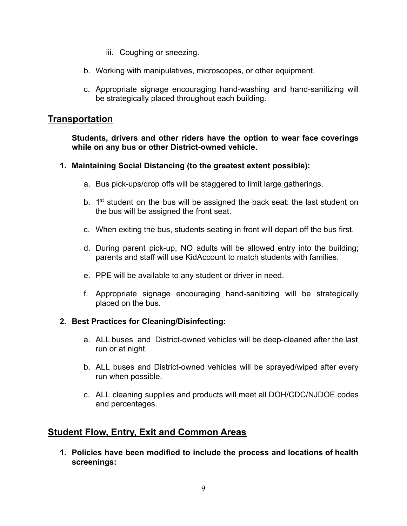- iii. Coughing or sneezing.
- b. Working with manipulatives, microscopes, or other equipment.
- c. Appropriate signage encouraging hand-washing and hand-sanitizing will be strategically placed throughout each building.

# **Transportation**

**Students, drivers and other riders have the option to wear face coverings while on any bus or other District-owned vehicle.**

#### **1. Maintaining Social Distancing (to the greatest extent possible):**

- a. Bus pick-ups/drop offs will be staggered to limit large gatherings.
- b. 1<sup>st</sup> student on the bus will be assigned the back seat: the last student on the bus will be assigned the front seat.
- c. When exiting the bus, students seating in front will depart off the bus first.
- d. During parent pick-up, NO adults will be allowed entry into the building; parents and staff will use KidAccount to match students with families.
- e. PPE will be available to any student or driver in need.
- f. Appropriate signage encouraging hand-sanitizing will be strategically placed on the bus.

# **2. Best Practices for Cleaning/Disinfecting:**

- a. ALL buses and District-owned vehicles will be deep-cleaned after the last run or at night.
- b. ALL buses and District-owned vehicles will be sprayed/wiped after every run when possible.
- c. ALL cleaning supplies and products will meet all DOH/CDC/NJDOE codes and percentages.

# **Student Flow, Entry, Exit and Common Areas**

**1. Policies have been modified to include the process and locations of health screenings:**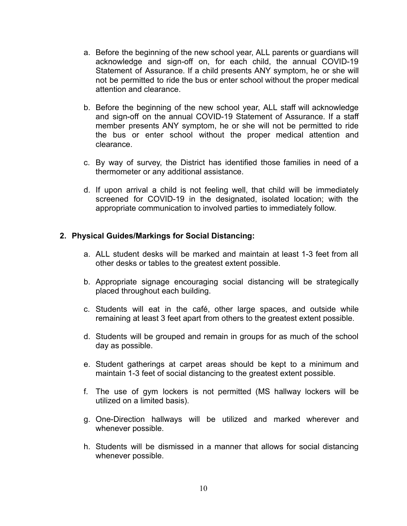- a. Before the beginning of the new school year, ALL parents or guardians will acknowledge and sign-off on, for each child, the annual COVID-19 Statement of Assurance. If a child presents ANY symptom, he or she will not be permitted to ride the bus or enter school without the proper medical attention and clearance.
- b. Before the beginning of the new school year, ALL staff will acknowledge and sign-off on the annual COVID-19 Statement of Assurance. If a staff member presents ANY symptom, he or she will not be permitted to ride the bus or enter school without the proper medical attention and clearance.
- c. By way of survey, the District has identified those families in need of a thermometer or any additional assistance.
- d. If upon arrival a child is not feeling well, that child will be immediately screened for COVID-19 in the designated, isolated location; with the appropriate communication to involved parties to immediately follow.

#### **2. Physical Guides/Markings for Social Distancing:**

- a. ALL student desks will be marked and maintain at least 1-3 feet from all other desks or tables to the greatest extent possible.
- b. Appropriate signage encouraging social distancing will be strategically placed throughout each building.
- c. Students will eat in the café, other large spaces, and outside while remaining at least 3 feet apart from others to the greatest extent possible.
- d. Students will be grouped and remain in groups for as much of the school day as possible.
- e. Student gatherings at carpet areas should be kept to a minimum and maintain 1-3 feet of social distancing to the greatest extent possible.
- f. The use of gym lockers is not permitted (MS hallway lockers will be utilized on a limited basis).
- g. One-Direction hallways will be utilized and marked wherever and whenever possible.
- h. Students will be dismissed in a manner that allows for social distancing whenever possible.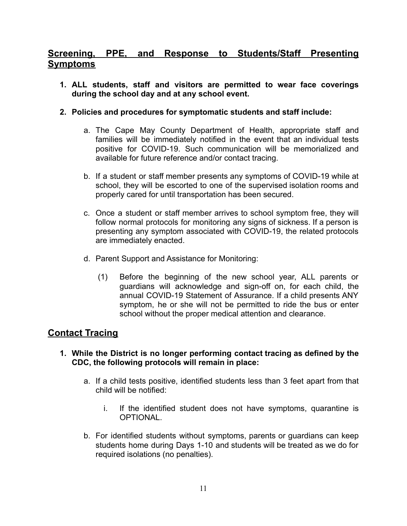# **Screening, PPE, and Response to Students/Staff Presenting Symptoms**

- **1. ALL students, staff and visitors are permitted to wear face coverings during the school day and at any school event.**
- **2. Policies and procedures for symptomatic students and staff include:**
	- a. The Cape May County Department of Health, appropriate staff and families will be immediately notified in the event that an individual tests positive for COVID-19. Such communication will be memorialized and available for future reference and/or contact tracing.
	- b. If a student or staff member presents any symptoms of COVID-19 while at school, they will be escorted to one of the supervised isolation rooms and properly cared for until transportation has been secured.
	- c. Once a student or staff member arrives to school symptom free, they will follow normal protocols for monitoring any signs of sickness. If a person is presenting any symptom associated with COVID-19, the related protocols are immediately enacted.
	- d. Parent Support and Assistance for Monitoring:
		- (1) Before the beginning of the new school year, ALL parents or guardians will acknowledge and sign-off on, for each child, the annual COVID-19 Statement of Assurance. If a child presents ANY symptom, he or she will not be permitted to ride the bus or enter school without the proper medical attention and clearance.

# **Contact Tracing**

#### **1. While the District is no longer performing contact tracing as defined by the CDC, the following protocols will remain in place:**

- a. If a child tests positive, identified students less than 3 feet apart from that child will be notified:
	- i. If the identified student does not have symptoms, quarantine is OPTIONAL.
- b. For identified students without symptoms, parents or guardians can keep students home during Days 1-10 and students will be treated as we do for required isolations (no penalties).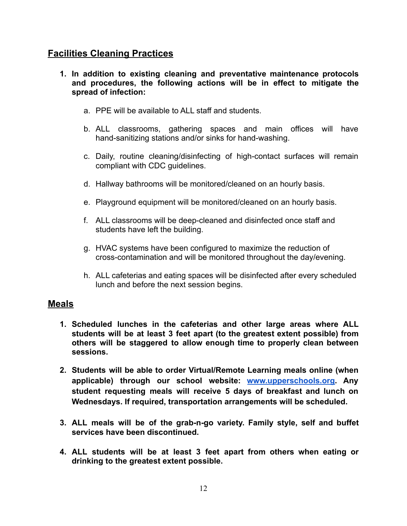# **Facilities Cleaning Practices**

- **1. In addition to existing cleaning and preventative maintenance protocols and procedures, the following actions will be in effect to mitigate the spread of infection:**
	- a. PPE will be available to ALL staff and students.
	- b. ALL classrooms, gathering spaces and main offices will have hand-sanitizing stations and/or sinks for hand-washing.
	- c. Daily, routine cleaning/disinfecting of high-contact surfaces will remain compliant with CDC guidelines.
	- d. Hallway bathrooms will be monitored/cleaned on an hourly basis.
	- e. Playground equipment will be monitored/cleaned on an hourly basis.
	- f. ALL classrooms will be deep-cleaned and disinfected once staff and students have left the building.
	- g. HVAC systems have been configured to maximize the reduction of cross-contamination and will be monitored throughout the day/evening.
	- h. ALL cafeterias and eating spaces will be disinfected after every scheduled lunch and before the next session begins.

# **Meals**

- **1. Scheduled lunches in the cafeterias and other large areas where ALL students will be at least 3 feet apart (to the greatest extent possible) from others will be staggered to allow enough time to properly clean between sessions.**
- **2. Students will be able to order Virtual/Remote Learning meals online (when applicable) through our school website: [www.upperschools.org.](http://www.upperschools.org) Any student requesting meals will receive 5 days of breakfast and lunch on Wednesdays. If required, transportation arrangements will be scheduled.**
- **3. ALL meals will be of the grab-n-go variety. Family style, self and buffet services have been discontinued.**
- **4. ALL students will be at least 3 feet apart from others when eating or drinking to the greatest extent possible.**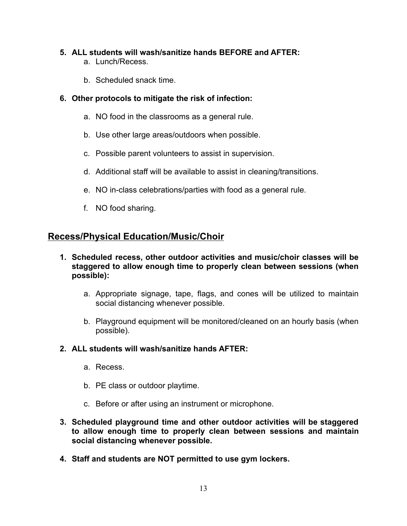# **5. ALL students will wash/sanitize hands BEFORE and AFTER:**

- a. Lunch/Recess.
- b. Scheduled snack time.

# **6. Other protocols to mitigate the risk of infection:**

- a. NO food in the classrooms as a general rule.
- b. Use other large areas/outdoors when possible.
- c. Possible parent volunteers to assist in supervision.
- d. Additional staff will be available to assist in cleaning/transitions.
- e. NO in-class celebrations/parties with food as a general rule.
- f. NO food sharing.

# **Recess/Physical Education/Music/Choir**

- **1. Scheduled recess, other outdoor activities and music/choir classes will be staggered to allow enough time to properly clean between sessions (when possible):**
	- a. Appropriate signage, tape, flags, and cones will be utilized to maintain social distancing whenever possible.
	- b. Playground equipment will be monitored/cleaned on an hourly basis (when possible).

# **2. ALL students will wash/sanitize hands AFTER:**

- a. Recess.
- b. PE class or outdoor playtime.
- c. Before or after using an instrument or microphone.
- **3. Scheduled playground time and other outdoor activities will be staggered to allow enough time to properly clean between sessions and maintain social distancing whenever possible.**
- **4. Staff and students are NOT permitted to use gym lockers.**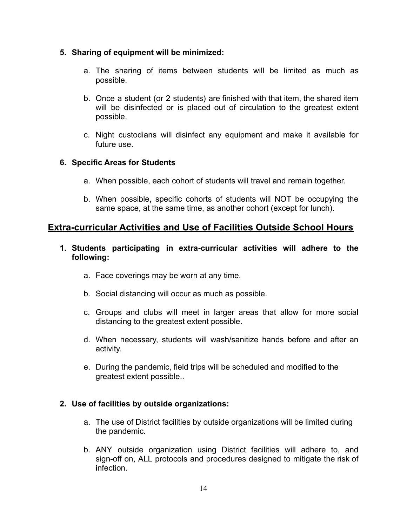#### **5. Sharing of equipment will be minimized:**

- a. The sharing of items between students will be limited as much as possible.
- b. Once a student (or 2 students) are finished with that item, the shared item will be disinfected or is placed out of circulation to the greatest extent possible.
- c. Night custodians will disinfect any equipment and make it available for future use.

# **6. Specific Areas for Students**

- a. When possible, each cohort of students will travel and remain together.
- b. When possible, specific cohorts of students will NOT be occupying the same space, at the same time, as another cohort (except for lunch).

# **Extra-curricular Activities and Use of Facilities Outside School Hours**

- **1. Students participating in extra-curricular activities will adhere to the following:**
	- a. Face coverings may be worn at any time.
	- b. Social distancing will occur as much as possible.
	- c. Groups and clubs will meet in larger areas that allow for more social distancing to the greatest extent possible.
	- d. When necessary, students will wash/sanitize hands before and after an activity.
	- e. During the pandemic, field trips will be scheduled and modified to the greatest extent possible..

# **2. Use of facilities by outside organizations:**

- a. The use of District facilities by outside organizations will be limited during the pandemic.
- b. ANY outside organization using District facilities will adhere to, and sign-off on, ALL protocols and procedures designed to mitigate the risk of infection.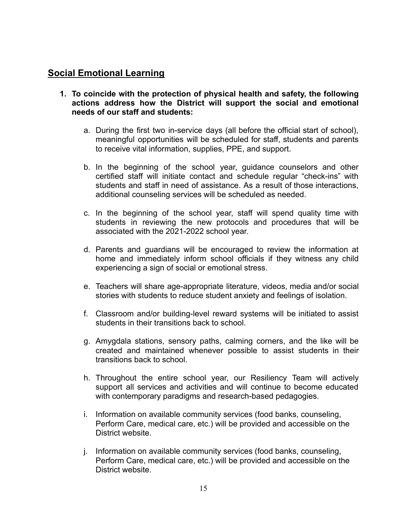# **Social Emotional Learning**

- **1. To coincide with the protection of physical health and safety, the following actions address how the District will support the social and emotional needs of our staff and students:**
	- a. During the first two in-service days (all before the official start of school), meaningful opportunities will be scheduled for staff, students and parents to receive vital information, supplies, PPE, and support.
	- b. In the beginning of the school year, guidance counselors and other certified staff will initiate contact and schedule regular "check-ins" with students and staff in need of assistance. As a result of those interactions, additional counseling services will be scheduled as needed.
	- c. In the beginning of the school year, staff will spend quality time with students in reviewing the new protocols and procedures that will be associated with the 2021-2022 school year.
	- d. Parents and guardians will be encouraged to review the information at home and immediately inform school officials if they witness any child experiencing a sign of social or emotional stress.
	- e. Teachers will share age-appropriate literature, videos, media and/or social stories with students to reduce student anxiety and feelings of isolation.
	- f. Classroom and/or building-level reward systems will be initiated to assist students in their transitions back to school
	- g. Amygdala stations, sensory paths, calming corners, and the like will be created and maintained whenever possible to assist students in their transitions back to school.
	- h. Throughout the entire school year, our Resiliency Team will actively support all services and activities and will continue to become educated with contemporary paradigms and research-based pedagogies.
	- i. Information on available community services (food banks, counseling, Perform Care, medical care, etc.) will be provided and accessible on the District website.
	- j. Information on available community services (food banks, counseling, Perform Care, medical care, etc.) will be provided and accessible on the District website.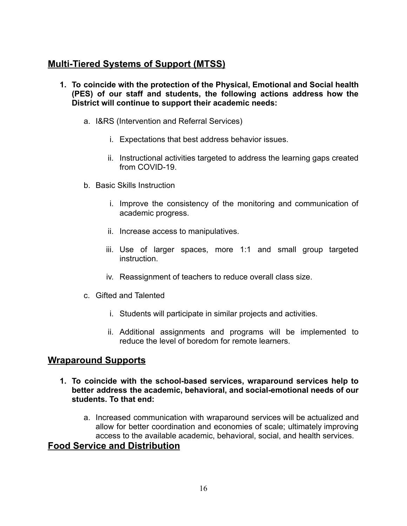# **Multi-Tiered Systems of Support (MTSS)**

- **1. To coincide with the protection of the Physical, Emotional and Social health (PES) of our staff and students, the following actions address how the District will continue to support their academic needs:**
	- a. I&RS (Intervention and Referral Services)
		- i. Expectations that best address behavior issues.
		- ii. Instructional activities targeted to address the learning gaps created from COVID-19.
	- b. Basic Skills Instruction
		- i. Improve the consistency of the monitoring and communication of academic progress.
		- ii. Increase access to manipulatives.
		- iii. Use of larger spaces, more 1:1 and small group targeted instruction.
		- iv. Reassignment of teachers to reduce overall class size.
	- c. Gifted and Talented
		- i. Students will participate in similar projects and activities.
		- ii. Additional assignments and programs will be implemented to reduce the level of boredom for remote learners.

# **Wraparound Supports**

- **1. To coincide with the school-based services, wraparound services help to better address the academic, behavioral, and social-emotional needs of our students. To that end:**
	- a. Increased communication with wraparound services will be actualized and allow for better coordination and economies of scale; ultimately improving access to the available academic, behavioral, social, and health services.

# **Food Service and Distribution**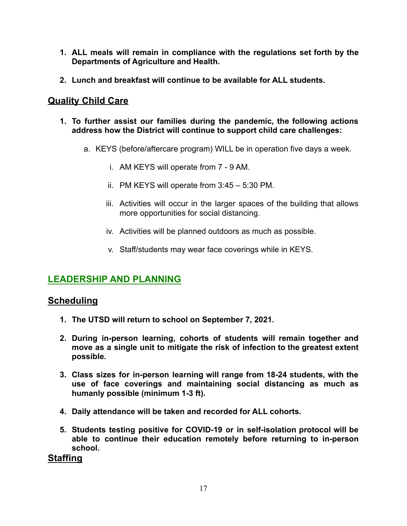- **1. ALL meals will remain in compliance with the regulations set forth by the Departments of Agriculture and Health.**
- **2. Lunch and breakfast will continue to be available for ALL students.**

# **Quality Child Care**

- **1. To further assist our families during the pandemic, the following actions address how the District will continue to support child care challenges:**
	- a. KEYS (before/aftercare program) WILL be in operation five days a week.
		- i. AM KEYS will operate from 7 9 AM.
		- ii. PM KEYS will operate from 3:45 5:30 PM.
		- iii. Activities will occur in the larger spaces of the building that allows more opportunities for social distancing.
		- iv. Activities will be planned outdoors as much as possible.
		- v. Staff/students may wear face coverings while in KEYS.

# **LEADERSHIP AND PLANNING**

# **Scheduling**

- **1. The UTSD will return to school on September 7, 2021.**
- **2. During in-person learning, cohorts of students will remain together and move as a single unit to mitigate the risk of infection to the greatest extent possible.**
- **3. Class sizes for in-person learning will range from 18-24 students, with the use of face coverings and maintaining social distancing as much as humanly possible (minimum 1-3 ft).**
- **4. Daily attendance will be taken and recorded for ALL cohorts.**
- **5. Students testing positive for COVID-19 or in self-isolation protocol will be able to continue their education remotely before returning to in-person school.**

**Staffing**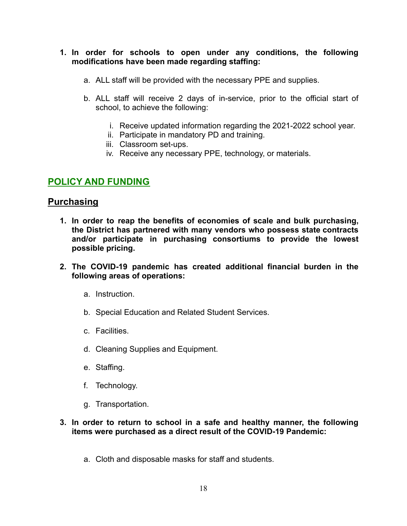#### **1. In order for schools to open under any conditions, the following modifications have been made regarding staffing:**

- a. ALL staff will be provided with the necessary PPE and supplies.
- b. ALL staff will receive 2 days of in-service, prior to the official start of school, to achieve the following:
	- i. Receive updated information regarding the 2021-2022 school year.
	- ii. Participate in mandatory PD and training.
	- iii. Classroom set-ups.
	- iv. Receive any necessary PPE, technology, or materials.

# **POLICY AND FUNDING**

# **Purchasing**

- **1. In order to reap the benefits of economies of scale and bulk purchasing, the District has partnered with many vendors who possess state contracts and/or participate in purchasing consortiums to provide the lowest possible pricing.**
- **2. The COVID-19 pandemic has created additional financial burden in the following areas of operations:**
	- a. Instruction.
	- b. Special Education and Related Student Services.
	- c. Facilities.
	- d. Cleaning Supplies and Equipment.
	- e. Staffing.
	- f. Technology.
	- g. Transportation.

#### **3. In order to return to school in a safe and healthy manner, the following items were purchased as a direct result of the COVID-19 Pandemic:**

a. Cloth and disposable masks for staff and students.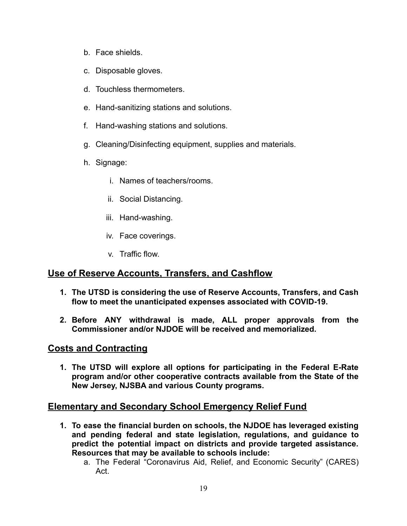- b. Face shields.
- c. Disposable gloves.
- d. Touchless thermometers.
- e. Hand-sanitizing stations and solutions.
- f. Hand-washing stations and solutions.
- g. Cleaning/Disinfecting equipment, supplies and materials.
- h. Signage:
	- i. Names of teachers/rooms.
	- ii. Social Distancing.
	- iii. Hand-washing.
	- iv. Face coverings.
	- v. Traffic flow.

# **Use of Reserve Accounts, Transfers, and Cashflow**

- **1. The UTSD is considering the use of Reserve Accounts, Transfers, and Cash flow to meet the unanticipated expenses associated with COVID-19.**
- **2. Before ANY withdrawal is made, ALL proper approvals from the Commissioner and/or NJDOE will be received and memorialized.**

# **Costs and Contracting**

**1. The UTSD will explore all options for participating in the Federal E-Rate program and/or other cooperative contracts available from the State of the New Jersey, NJSBA and various County programs.**

# **Elementary and Secondary School Emergency Relief Fund**

- **1. To ease the financial burden on schools, the NJDOE has leveraged existing and pending federal and state legislation, regulations, and guidance to predict the potential impact on districts and provide targeted assistance. Resources that may be available to schools include:**
	- a. The Federal "Coronavirus Aid, Relief, and Economic Security" (CARES) Act.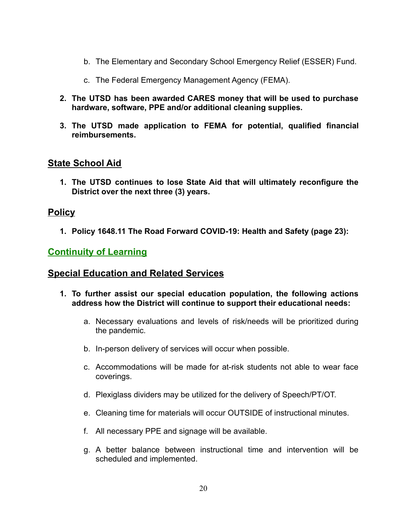- b. The Elementary and Secondary School Emergency Relief (ESSER) Fund.
- c. The Federal Emergency Management Agency (FEMA).
- **2. The UTSD has been awarded CARES money that will be used to purchase hardware, software, PPE and/or additional cleaning supplies.**
- **3. The UTSD made application to FEMA for potential, qualified financial reimbursements.**

# **State School Aid**

**1. The UTSD continues to lose State Aid that will ultimately reconfigure the District over the next three (3) years.**

# **Policy**

**1. Policy 1648.11 The Road Forward COVID-19: Health and Safety (page 23):**

# **Continuity of Learning**

# **Special Education and Related Services**

- **1. To further assist our special education population, the following actions address how the District will continue to support their educational needs:**
	- a. Necessary evaluations and levels of risk/needs will be prioritized during the pandemic.
	- b. In-person delivery of services will occur when possible.
	- c. Accommodations will be made for at-risk students not able to wear face coverings.
	- d. Plexiglass dividers may be utilized for the delivery of Speech/PT/OT.
	- e. Cleaning time for materials will occur OUTSIDE of instructional minutes.
	- f. All necessary PPE and signage will be available.
	- g. A better balance between instructional time and intervention will be scheduled and implemented.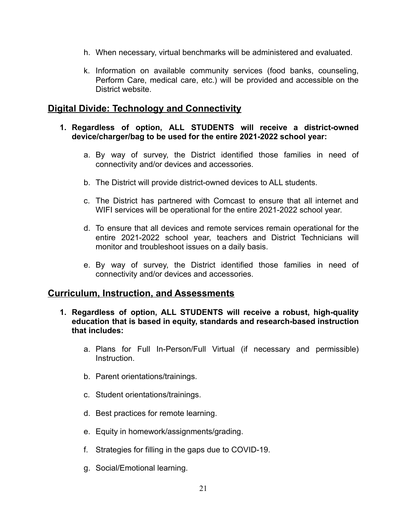- h. When necessary, virtual benchmarks will be administered and evaluated.
- k. Information on available community services (food banks, counseling, Perform Care, medical care, etc.) will be provided and accessible on the District website.

# **Digital Divide: Technology and Connectivity**

#### **1. Regardless of option, ALL STUDENTS will receive a district-owned device/charger/bag to be used for the entire 2021-2022 school year:**

- a. By way of survey, the District identified those families in need of connectivity and/or devices and accessories.
- b. The District will provide district-owned devices to ALL students.
- c. The District has partnered with Comcast to ensure that all internet and WIFI services will be operational for the entire 2021-2022 school year.
- d. To ensure that all devices and remote services remain operational for the entire 2021-2022 school year, teachers and District Technicians will monitor and troubleshoot issues on a daily basis.
- e. By way of survey, the District identified those families in need of connectivity and/or devices and accessories.

# **Curriculum, Instruction, and Assessments**

- **1. Regardless of option, ALL STUDENTS will receive a robust, high-quality education that is based in equity, standards and research-based instruction that includes:**
	- a. Plans for Full In-Person/Full Virtual (if necessary and permissible) Instruction.
	- b. Parent orientations/trainings.
	- c. Student orientations/trainings.
	- d. Best practices for remote learning.
	- e. Equity in homework/assignments/grading.
	- f. Strategies for filling in the gaps due to COVID-19.
	- g. Social/Emotional learning.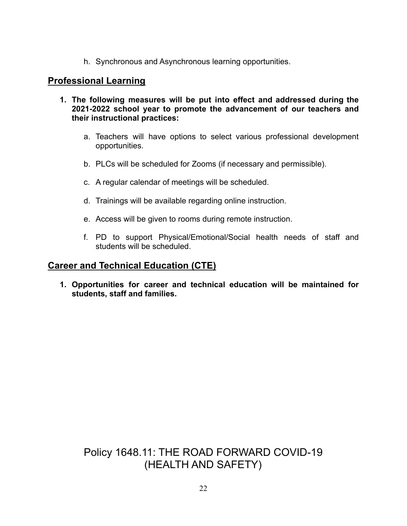h. Synchronous and Asynchronous learning opportunities.

# **Professional Learning**

- **1. The following measures will be put into effect and addressed during the 2021-2022 school year to promote the advancement of our teachers and their instructional practices:**
	- a. Teachers will have options to select various professional development opportunities.
	- b. PLCs will be scheduled for Zooms (if necessary and permissible).
	- c. A regular calendar of meetings will be scheduled.
	- d. Trainings will be available regarding online instruction.
	- e. Access will be given to rooms during remote instruction.
	- f. PD to support Physical/Emotional/Social health needs of staff and students will be scheduled.

# **Career and Technical Education (CTE)**

**1. Opportunities for career and technical education will be maintained for students, staff and families.**

# Policy 1648.11: THE ROAD FORWARD COVID-19 (HEALTH AND SAFETY)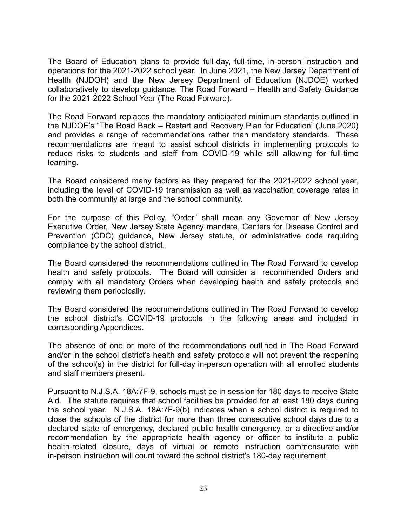The Board of Education plans to provide full-day, full-time, in-person instruction and operations for the 2021-2022 school year. In June 2021, the New Jersey Department of Health (NJDOH) and the New Jersey Department of Education (NJDOE) worked collaboratively to develop guidance, The Road Forward – Health and Safety Guidance for the 2021-2022 School Year (The Road Forward).

The Road Forward replaces the mandatory anticipated minimum standards outlined in the NJDOE's "The Road Back – Restart and Recovery Plan for Education" (June 2020) and provides a range of recommendations rather than mandatory standards. These recommendations are meant to assist school districts in implementing protocols to reduce risks to students and staff from COVID-19 while still allowing for full-time learning.

The Board considered many factors as they prepared for the 2021-2022 school year, including the level of COVID-19 transmission as well as vaccination coverage rates in both the community at large and the school community.

For the purpose of this Policy, "Order" shall mean any Governor of New Jersey Executive Order, New Jersey State Agency mandate, Centers for Disease Control and Prevention (CDC) guidance, New Jersey statute, or administrative code requiring compliance by the school district.

The Board considered the recommendations outlined in The Road Forward to develop health and safety protocols. The Board will consider all recommended Orders and comply with all mandatory Orders when developing health and safety protocols and reviewing them periodically.

The Board considered the recommendations outlined in The Road Forward to develop the school district's COVID-19 protocols in the following areas and included in corresponding Appendices.

The absence of one or more of the recommendations outlined in The Road Forward and/or in the school district's health and safety protocols will not prevent the reopening of the school(s) in the district for full-day in-person operation with all enrolled students and staff members present.

Pursuant to N.J.S.A. 18A:7F-9, schools must be in session for 180 days to receive State Aid. The statute requires that school facilities be provided for at least 180 days during the school year. N.J.S.A. 18A:7F-9(b) indicates when a school district is required to close the schools of the district for more than three consecutive school days due to a declared state of emergency, declared public health emergency, or a directive and/or recommendation by the appropriate health agency or officer to institute a public health-related closure, days of virtual or remote instruction commensurate with in-person instruction will count toward the school district's 180-day requirement.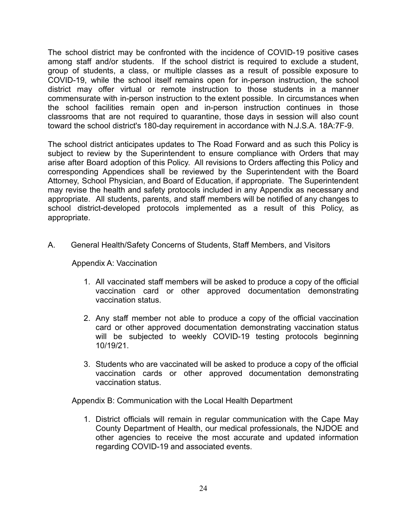The school district may be confronted with the incidence of COVID-19 positive cases among staff and/or students. If the school district is required to exclude a student, group of students, a class, or multiple classes as a result of possible exposure to COVID-19, while the school itself remains open for in-person instruction, the school district may offer virtual or remote instruction to those students in a manner commensurate with in-person instruction to the extent possible. In circumstances when the school facilities remain open and in-person instruction continues in those classrooms that are not required to quarantine, those days in session will also count toward the school district's 180-day requirement in accordance with N.J.S.A. 18A:7F-9.

The school district anticipates updates to The Road Forward and as such this Policy is subject to review by the Superintendent to ensure compliance with Orders that may arise after Board adoption of this Policy. All revisions to Orders affecting this Policy and corresponding Appendices shall be reviewed by the Superintendent with the Board Attorney, School Physician, and Board of Education, if appropriate. The Superintendent may revise the health and safety protocols included in any Appendix as necessary and appropriate. All students, parents, and staff members will be notified of any changes to school district-developed protocols implemented as a result of this Policy, as appropriate.

A. General Health/Safety Concerns of Students, Staff Members, and Visitors

#### Appendix A: Vaccination

- 1. All vaccinated staff members will be asked to produce a copy of the official vaccination card or other approved documentation demonstrating vaccination status.
- 2. Any staff member not able to produce a copy of the official vaccination card or other approved documentation demonstrating vaccination status will be subjected to weekly COVID-19 testing protocols beginning 10/19/21.
- 3. Students who are vaccinated will be asked to produce a copy of the official vaccination cards or other approved documentation demonstrating vaccination status.

Appendix B: Communication with the Local Health Department

1. District officials will remain in regular communication with the Cape May County Department of Health, our medical professionals, the NJDOE and other agencies to receive the most accurate and updated information regarding COVID-19 and associated events.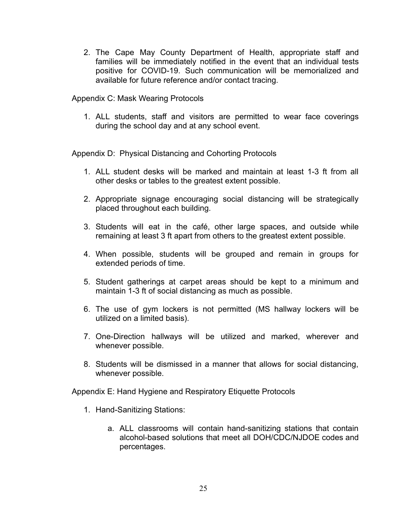2. The Cape May County Department of Health, appropriate staff and families will be immediately notified in the event that an individual tests positive for COVID-19. Such communication will be memorialized and available for future reference and/or contact tracing.

Appendix C: Mask Wearing Protocols

1. ALL students, staff and visitors are permitted to wear face coverings during the school day and at any school event.

Appendix D: Physical Distancing and Cohorting Protocols

- 1. ALL student desks will be marked and maintain at least 1-3 ft from all other desks or tables to the greatest extent possible.
- 2. Appropriate signage encouraging social distancing will be strategically placed throughout each building.
- 3. Students will eat in the café, other large spaces, and outside while remaining at least 3 ft apart from others to the greatest extent possible.
- 4. When possible, students will be grouped and remain in groups for extended periods of time.
- 5. Student gatherings at carpet areas should be kept to a minimum and maintain 1-3 ft of social distancing as much as possible.
- 6. The use of gym lockers is not permitted (MS hallway lockers will be utilized on a limited basis).
- 7. One-Direction hallways will be utilized and marked, wherever and whenever possible.
- 8. Students will be dismissed in a manner that allows for social distancing, whenever possible.

Appendix E: Hand Hygiene and Respiratory Etiquette Protocols

- 1. Hand-Sanitizing Stations:
	- a. ALL classrooms will contain hand-sanitizing stations that contain alcohol-based solutions that meet all DOH/CDC/NJDOE codes and percentages.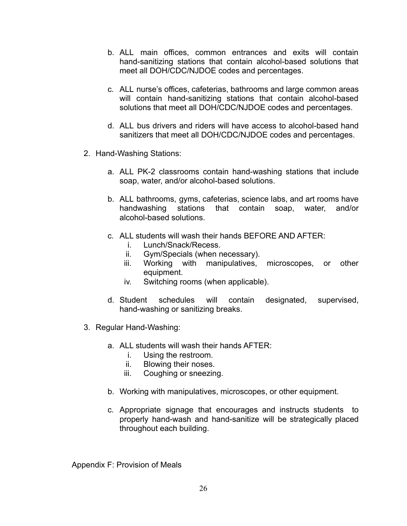- b. ALL main offices, common entrances and exits will contain hand-sanitizing stations that contain alcohol-based solutions that meet all DOH/CDC/NJDOE codes and percentages.
- c. ALL nurse's offices, cafeterias, bathrooms and large common areas will contain hand-sanitizing stations that contain alcohol-based solutions that meet all DOH/CDC/NJDOE codes and percentages.
- d. ALL bus drivers and riders will have access to alcohol-based hand sanitizers that meet all DOH/CDC/NJDOE codes and percentages.
- 2. Hand-Washing Stations:
	- a. ALL PK-2 classrooms contain hand-washing stations that include soap, water, and/or alcohol-based solutions.
	- b. ALL bathrooms, gyms, cafeterias, science labs, and art rooms have handwashing stations that contain soap, water, and/or alcohol-based solutions.
	- c. ALL students will wash their hands BEFORE AND AFTER:
		- i. Lunch/Snack/Recess.
		- ii. Gym/Specials (when necessary).
		- iii. Working with manipulatives, microscopes, or other equipment.
		- iv. Switching rooms (when applicable).
	- d. Student schedules will contain designated, supervised, hand-washing or sanitizing breaks.
- 3. Regular Hand-Washing:
	- a. ALL students will wash their hands AFTER:
		- i. Using the restroom.
		- ii. Blowing their noses.
		- iii. Coughing or sneezing.
	- b. Working with manipulatives, microscopes, or other equipment.
	- c. Appropriate signage that encourages and instructs students to properly hand-wash and hand-sanitize will be strategically placed throughout each building.

Appendix F: Provision of Meals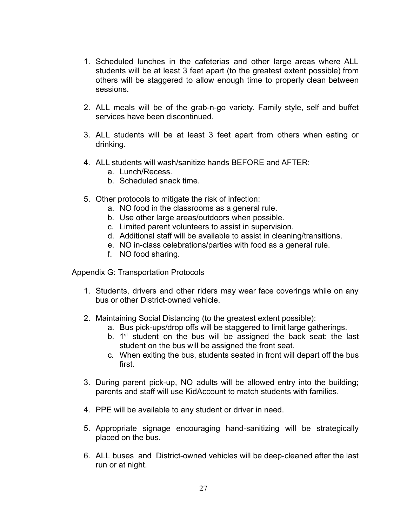- 1. Scheduled lunches in the cafeterias and other large areas where ALL students will be at least 3 feet apart (to the greatest extent possible) from others will be staggered to allow enough time to properly clean between sessions.
- 2. ALL meals will be of the grab-n-go variety. Family style, self and buffet services have been discontinued.
- 3. ALL students will be at least 3 feet apart from others when eating or drinking.
- 4. ALL students will wash/sanitize hands BEFORE and AFTER:
	- a. Lunch/Recess.
	- b. Scheduled snack time.
- 5. Other protocols to mitigate the risk of infection:
	- a. NO food in the classrooms as a general rule.
	- b. Use other large areas/outdoors when possible.
	- c. Limited parent volunteers to assist in supervision.
	- d. Additional staff will be available to assist in cleaning/transitions.
	- e. NO in-class celebrations/parties with food as a general rule.
	- f. NO food sharing.

Appendix G: Transportation Protocols

- 1. Students, drivers and other riders may wear face coverings while on any bus or other District-owned vehicle.
- 2. Maintaining Social Distancing (to the greatest extent possible):
	- a. Bus pick-ups/drop offs will be staggered to limit large gatherings.
	- b.  $1<sup>st</sup>$  student on the bus will be assigned the back seat: the last student on the bus will be assigned the front seat.
	- c. When exiting the bus, students seated in front will depart off the bus first.
- 3. During parent pick-up, NO adults will be allowed entry into the building; parents and staff will use KidAccount to match students with families.
- 4. PPE will be available to any student or driver in need.
- 5. Appropriate signage encouraging hand-sanitizing will be strategically placed on the bus.
- 6. ALL buses and District-owned vehicles will be deep-cleaned after the last run or at night.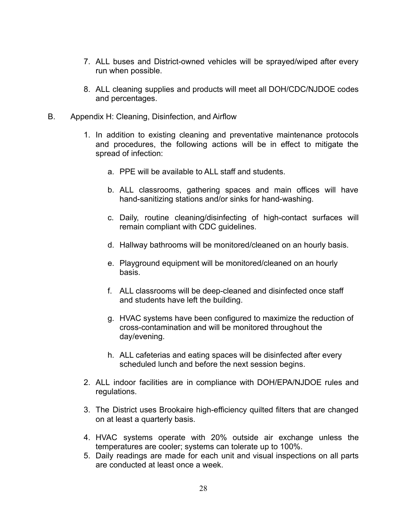- 7. ALL buses and District-owned vehicles will be sprayed/wiped after every run when possible.
- 8. ALL cleaning supplies and products will meet all DOH/CDC/NJDOE codes and percentages.
- B. Appendix H: Cleaning, Disinfection, and Airflow
	- 1. In addition to existing cleaning and preventative maintenance protocols and procedures, the following actions will be in effect to mitigate the spread of infection:
		- a. PPE will be available to ALL staff and students.
		- b. ALL classrooms, gathering spaces and main offices will have hand-sanitizing stations and/or sinks for hand-washing.
		- c. Daily, routine cleaning/disinfecting of high-contact surfaces will remain compliant with CDC guidelines.
		- d. Hallway bathrooms will be monitored/cleaned on an hourly basis.
		- e. Playground equipment will be monitored/cleaned on an hourly basis.
		- f. ALL classrooms will be deep-cleaned and disinfected once staff and students have left the building.
		- g. HVAC systems have been configured to maximize the reduction of cross-contamination and will be monitored throughout the day/evening.
		- h. ALL cafeterias and eating spaces will be disinfected after every scheduled lunch and before the next session begins.
	- 2. ALL indoor facilities are in compliance with DOH/EPA/NJDOE rules and regulations.
	- 3. The District uses Brookaire high-efficiency quilted filters that are changed on at least a quarterly basis.
	- 4. HVAC systems operate with 20% outside air exchange unless the temperatures are cooler; systems can tolerate up to 100%.
	- 5. Daily readings are made for each unit and visual inspections on all parts are conducted at least once a week.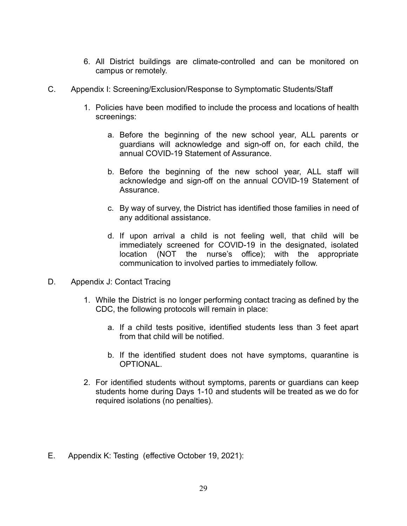- 6. All District buildings are climate-controlled and can be monitored on campus or remotely.
- C. Appendix I: Screening/Exclusion/Response to Symptomatic Students/Staff
	- 1. Policies have been modified to include the process and locations of health screenings:
		- a. Before the beginning of the new school year, ALL parents or guardians will acknowledge and sign-off on, for each child, the annual COVID-19 Statement of Assurance.
		- b. Before the beginning of the new school year, ALL staff will acknowledge and sign-off on the annual COVID-19 Statement of Assurance.
		- c. By way of survey, the District has identified those families in need of any additional assistance.
		- d. If upon arrival a child is not feeling well, that child will be immediately screened for COVID-19 in the designated, isolated location (NOT the nurse's office); with the appropriate communication to involved parties to immediately follow.
- D. Appendix J: Contact Tracing
	- 1. While the District is no longer performing contact tracing as defined by the CDC, the following protocols will remain in place:
		- a. If a child tests positive, identified students less than 3 feet apart from that child will be notified.
		- b. If the identified student does not have symptoms, quarantine is OPTIONAL.
	- 2. For identified students without symptoms, parents or guardians can keep students home during Days 1-10 and students will be treated as we do for required isolations (no penalties).
- E. Appendix K: Testing (effective October 19, 2021):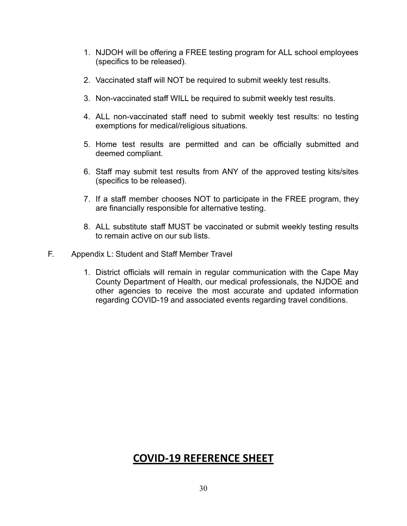- 1. NJDOH will be offering a FREE testing program for ALL school employees (specifics to be released).
- 2. Vaccinated staff will NOT be required to submit weekly test results.
- 3. Non-vaccinated staff WILL be required to submit weekly test results.
- 4. ALL non-vaccinated staff need to submit weekly test results: no testing exemptions for medical/religious situations.
- 5. Home test results are permitted and can be officially submitted and deemed compliant.
- 6. Staff may submit test results from ANY of the approved testing kits/sites (specifics to be released).
- 7. If a staff member chooses NOT to participate in the FREE program, they are financially responsible for alternative testing.
- 8. ALL substitute staff MUST be vaccinated or submit weekly testing results to remain active on our sub lists.
- F. Appendix L: Student and Staff Member Travel
	- 1. District officials will remain in regular communication with the Cape May County Department of Health, our medical professionals, the NJDOE and other agencies to receive the most accurate and updated information regarding COVID-19 and associated events regarding travel conditions.

# **COVID-19 REFERENCE SHEET**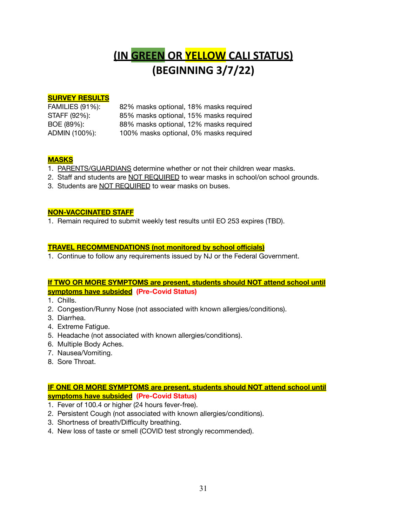# **(IN GREEN OR YELLOW CALI STATUS) (BEGINNING 3/7/22)**

#### **SURVEY RESULTS**

| <b>FAMILIES (91%):</b> | 82% masks optional, 18% masks required |
|------------------------|----------------------------------------|
| STAFF (92%):           | 85% masks optional, 15% masks required |
| BOE (89%):             | 88% masks optional, 12% masks required |
| ADMIN (100%):          | 100% masks optional, 0% masks required |

#### **MASKS**

- 1. PARENTS/GUARDIANS determine whether or not their children wear masks.
- 2. Staff and students are NOT REQUIRED to wear masks in school/on school grounds.
- 3. Students are NOT REQUIRED to wear masks on buses.

#### **NON-VACCINATED STAFF**

1. Remain required to submit weekly test results until EO 253 expires (TBD).

#### **TRAVEL RECOMMENDATIONS (not monitored by school officials)**

1. Continue to follow any requirements issued by NJ or the Federal Government.

#### **If TWO OR MORE SYMPTOMS are present, students should NOT attend school until symptoms have subsided (Pre-Covid Status)**

- 1. Chills.
- 2. Congestion/Runny Nose (not associated with known allergies/conditions).
- 3. Diarrhea.
- 4. Extreme Fatigue.
- 5. Headache (not associated with known allergies/conditions).
- 6. Multiple Body Aches.
- 7. Nausea/Vomiting.
- 8. Sore Throat.

#### **IF ONE OR MORE SYMPTOMS are present, students should NOT attend school until symptoms have subsided (Pre-Covid Status)**

- 1. Fever of 100.4 or higher (24 hours fever-free).
- 2. Persistent Cough (not associated with known allergies/conditions).
- 3. Shortness of breath/Difficulty breathing.
- 4. New loss of taste or smell (COVID test strongly recommended).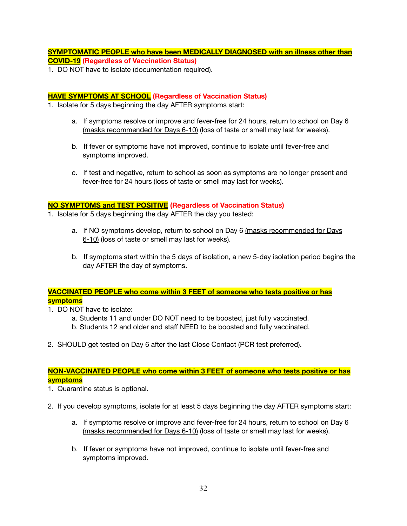**SYMPTOMATIC PEOPLE who have been MEDICALLY DIAGNOSED with an illness other than COVID-19 (Regardless of Vaccination Status)**

1. DO NOT have to isolate (documentation required).

#### **HAVE SYMPTOMS AT SCHOOL (Regardless of Vaccination Status)**

- 1. Isolate for 5 days beginning the day AFTER symptoms start:
	- a. If symptoms resolve or improve and fever-free for 24 hours, return to school on Day 6 (masks recommended for Days 6-10) (loss of taste or smell may last for weeks).
	- b. If fever or symptoms have not improved, continue to isolate until fever-free and symptoms improved.
	- c. If test and negative, return to school as soon as symptoms are no longer present and fever-free for 24 hours (loss of taste or smell may last for weeks).

#### **NO SYMPTOMS and TEST POSITIVE (Regardless of Vaccination Status)**

- 1. Isolate for 5 days beginning the day AFTER the day you tested:
	- a. If NO symptoms develop, return to school on Day 6 (masks recommended for Days 6-10) (loss of taste or smell may last for weeks).
	- b. If symptoms start within the 5 days of isolation, a new 5-day isolation period begins the day AFTER the day of symptoms.

#### **VACCINATED PEOPLE who come within 3 FEET of someone who tests positive or has symptoms**

- 1. DO NOT have to isolate:
	- a. Students 11 and under DO NOT need to be boosted, just fully vaccinated.
	- b. Students 12 and older and staff NEED to be boosted and fully vaccinated.
- 2. SHOULD get tested on Day 6 after the last Close Contact (PCR test preferred).

#### **NON-VACCINATED PEOPLE who come within 3 FEET of someone who tests positive or has symptoms**

- 1. Quarantine status is optional.
- 2. If you develop symptoms, isolate for at least 5 days beginning the day AFTER symptoms start:
	- a. If symptoms resolve or improve and fever-free for 24 hours, return to school on Day 6 (masks recommended for Days 6-10) (loss of taste or smell may last for weeks).
	- b. If fever or symptoms have not improved, continue to isolate until fever-free and symptoms improved.